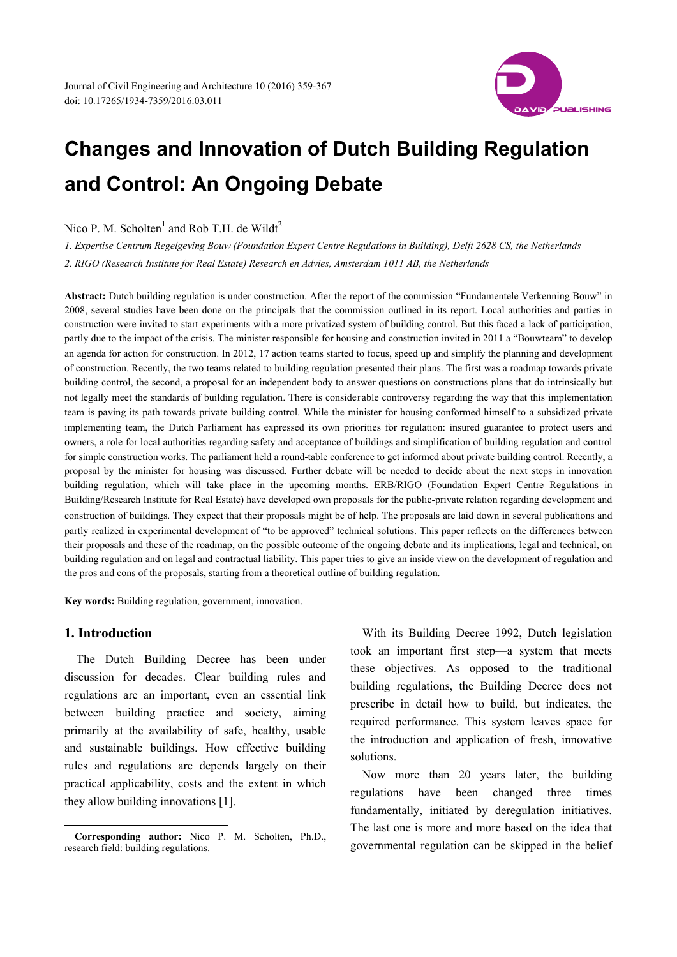

# **Changes and Innovation of Dutch Building Regulation and Control: An Ongoing Debate**

Nico P. M. Scholten<sup>1</sup> and Rob T.H. de Wildt<sup>2</sup>

*1. Expertise Centrum Regelgeving Bouw (Foundation Expert Centre Regulations in Building), Delft 2628 CS, the Netherlands 2. RIGO (Research Institute for Real Estate) Research en Advies, Amsterdam 1011 AB, the Netherlands* 

**Abstract:** Dutch building regulation is under construction. After the report of the commission "Fundamentele Verkenning Bouw" in 2008, several studies have been done on the principals that the commission outlined in its report. Local authorities and parties in construction were invited to start experiments with a more privatized system of building control. But this faced a lack of participation, partly due to the impact of the crisis. The minister responsible for housing and construction invited in 2011 a "Bouwteam" to develop an agenda for action for construction. In 2012, 17 action teams started to focus, speed up and simplify the planning and development of construction. Recently, the two teams related to building regulation presented their plans. The first was a roadmap towards private building control, the second, a proposal for an independent body to answer questions on constructions plans that do intrinsically but not legally meet the standards of building regulation. There is considerable controversy regarding the way that this implementation team is paving its path towards private building control. While the minister for housing conformed himself to a subsidized private implementing team, the Dutch Parliament has expressed its own priorities for regulation: insured guarantee to protect users and owners, a role for local authorities regarding safety and acceptance of buildings and simplification of building regulation and control for simple construction works. The parliament held a round-table conference to get informed about private building control. Recently, a proposal by the minister for housing was discussed. Further debate will be needed to decide about the next steps in innovation building regulation, which will take place in the upcoming months. ERB/RIGO (Foundation Expert Centre Regulations in Building/Research Institute for Real Estate) have developed own proposals for the public-private relation regarding development and construction of buildings. They expect that their proposals might be of help. The proposals are laid down in several publications and partly realized in experimental development of "to be approved" technical solutions. This paper reflects on the differences between their proposals and these of the roadmap, on the possible outcome of the ongoing debate and its implications, legal and technical, on building regulation and on legal and contractual liability. This paper tries to give an inside view on the development of regulation and the pros and cons of the proposals, starting from a theoretical outline of building regulation.

**Key words:** Building regulation, government, innovation.

# **1. Introduction**

The Dutch Building Decree has been under discussion for decades. Clear building rules and regulations are an important, even an essential link between building practice and society, aiming primarily at the availability of safe, healthy, usable and sustainable buildings. How effective building rules and regulations are depends largely on their practical applicability, costs and the extent in which they allow building innovations [1].

With its Building Decree 1992, Dutch legislation took an important first step—a system that meets these objectives. As opposed to the traditional building regulations, the Building Decree does not prescribe in detail how to build, but indicates, the required performance. This system leaves space for the introduction and application of fresh, innovative solutions.

Now more than 20 years later, the building regulations have been changed three times fundamentally, initiated by deregulation initiatives. The last one is more and more based on the idea that governmental regulation can be skipped in the belief

 $\overline{a}$ **Corresponding author:** Nico P. M. Scholten, Ph.D., research field: building regulations.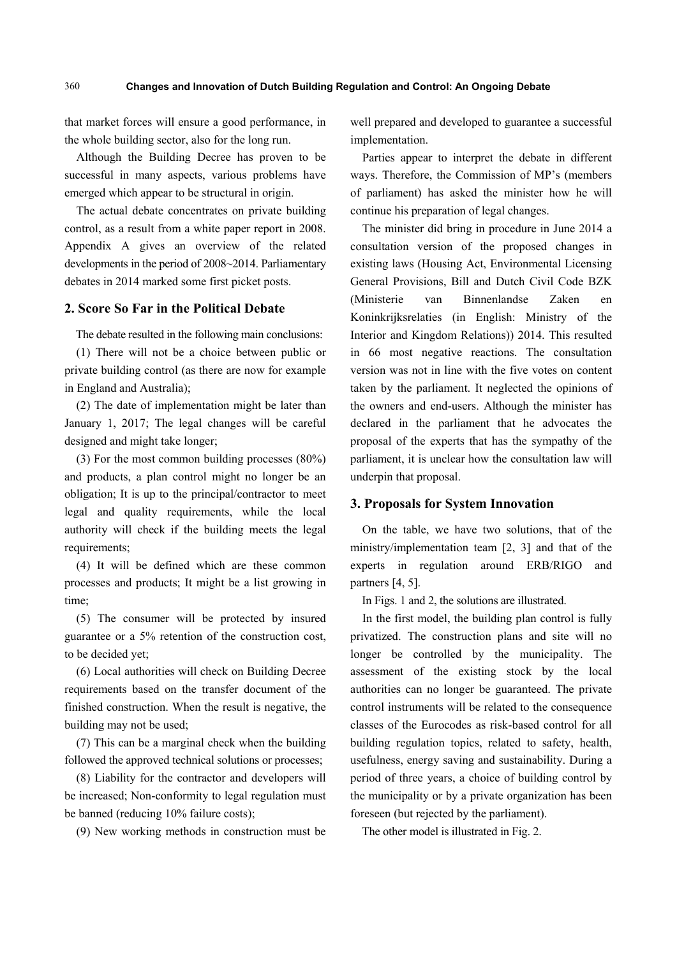that market forces will ensure a good performance, in the whole building sector, also for the long run.

Although the Building Decree has proven to be successful in many aspects, various problems have emerged which appear to be structural in origin.

The actual debate concentrates on private building control, as a result from a white paper report in 2008. Appendix A gives an overview of the related developments in the period of 2008~2014. Parliamentary debates in 2014 marked some first picket posts.

# **2. Score So Far in the Political Debate**

The debate resulted in the following main conclusions:

(1) There will not be a choice between public or private building control (as there are now for example in England and Australia);

(2) The date of implementation might be later than January 1, 2017; The legal changes will be careful designed and might take longer;

(3) For the most common building processes (80%) and products, a plan control might no longer be an obligation; It is up to the principal/contractor to meet legal and quality requirements, while the local authority will check if the building meets the legal requirements;

(4) It will be defined which are these common processes and products; It might be a list growing in time;

(5) The consumer will be protected by insured guarantee or a 5% retention of the construction cost, to be decided yet;

(6) Local authorities will check on Building Decree requirements based on the transfer document of the finished construction. When the result is negative, the building may not be used;

(7) This can be a marginal check when the building followed the approved technical solutions or processes;

(8) Liability for the contractor and developers will be increased; Non-conformity to legal regulation must be banned (reducing 10% failure costs);

(9) New working methods in construction must be

well prepared and developed to guarantee a successful implementation.

Parties appear to interpret the debate in different ways. Therefore, the Commission of MP's (members of parliament) has asked the minister how he will continue his preparation of legal changes.

The minister did bring in procedure in June 2014 a consultation version of the proposed changes in existing laws (Housing Act, Environmental Licensing General Provisions, Bill and Dutch Civil Code BZK (Ministerie van Binnenlandse Zaken en Koninkrijksrelaties (in English: Ministry of the Interior and Kingdom Relations)) 2014. This resulted in 66 most negative reactions. The consultation version was not in line with the five votes on content taken by the parliament. It neglected the opinions of the owners and end-users. Although the minister has declared in the parliament that he advocates the proposal of the experts that has the sympathy of the parliament, it is unclear how the consultation law will underpin that proposal.

## **3. Proposals for System Innovation**

On the table, we have two solutions, that of the ministry/implementation team [2, 3] and that of the experts in regulation around ERB/RIGO and partners [4, 5].

In Figs. 1 and 2, the solutions are illustrated.

In the first model, the building plan control is fully privatized. The construction plans and site will no longer be controlled by the municipality. The assessment of the existing stock by the local authorities can no longer be guaranteed. The private control instruments will be related to the consequence classes of the Eurocodes as risk-based control for all building regulation topics, related to safety, health, usefulness, energy saving and sustainability. During a period of three years, a choice of building control by the municipality or by a private organization has been foreseen (but rejected by the parliament).

The other model is illustrated in Fig. 2.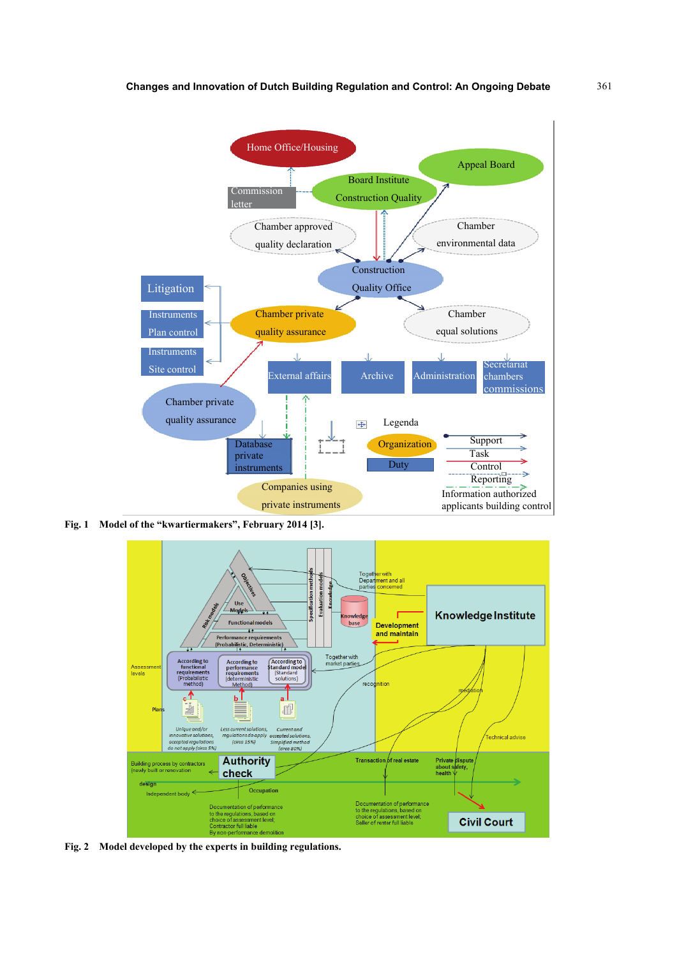

**Fig. 1 Model of the "kwartiermakers", February 2014 [3].** 



**Fig. 2 Model developed by the experts in building regulations.**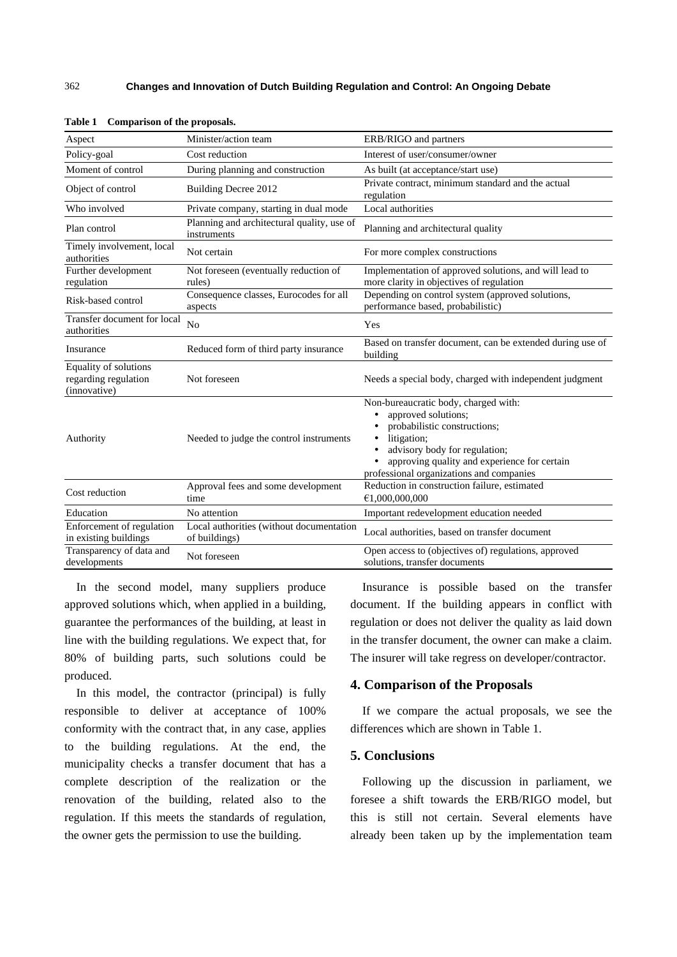| Aspect                                                        | Minister/action team                                      | ERB/RIGO and partners                                                                                                                                                                                                                                                       |
|---------------------------------------------------------------|-----------------------------------------------------------|-----------------------------------------------------------------------------------------------------------------------------------------------------------------------------------------------------------------------------------------------------------------------------|
| Policy-goal                                                   | Cost reduction                                            | Interest of user/consumer/owner                                                                                                                                                                                                                                             |
| Moment of control                                             | During planning and construction                          | As built (at acceptance/start use)                                                                                                                                                                                                                                          |
| Object of control                                             | Building Decree 2012                                      | Private contract, minimum standard and the actual<br>regulation                                                                                                                                                                                                             |
| Who involved                                                  | Private company, starting in dual mode                    | Local authorities                                                                                                                                                                                                                                                           |
| Plan control                                                  | Planning and architectural quality, use of<br>instruments | Planning and architectural quality                                                                                                                                                                                                                                          |
| Timely involvement, local<br>authorities                      | Not certain                                               | For more complex constructions                                                                                                                                                                                                                                              |
| Further development<br>regulation                             | Not foreseen (eventually reduction of<br>rules)           | Implementation of approved solutions, and will lead to<br>more clarity in objectives of regulation                                                                                                                                                                          |
| Risk-based control                                            | Consequence classes, Eurocodes for all<br>aspects         | Depending on control system (approved solutions,<br>performance based, probabilistic)                                                                                                                                                                                       |
| Transfer document for local<br>authorities                    | No                                                        | Yes                                                                                                                                                                                                                                                                         |
| Insurance                                                     | Reduced form of third party insurance                     | Based on transfer document, can be extended during use of<br>building                                                                                                                                                                                                       |
| Equality of solutions<br>regarding regulation<br>(innovative) | Not foreseen                                              | Needs a special body, charged with independent judgment                                                                                                                                                                                                                     |
| Authority                                                     | Needed to judge the control instruments                   | Non-bureaucratic body, charged with:<br>approved solutions;<br>$\bullet$<br>probabilistic constructions;<br>litigation;<br>٠<br>advisory body for regulation;<br>$\bullet$<br>approving quality and experience for certain<br>٠<br>professional organizations and companies |
| Cost reduction                                                | Approval fees and some development<br>time                | Reduction in construction failure, estimated<br>€1,000,000,000                                                                                                                                                                                                              |
| Education                                                     | No attention                                              | Important redevelopment education needed                                                                                                                                                                                                                                    |
| Enforcement of regulation<br>in existing buildings            | Local authorities (without documentation<br>of buildings) | Local authorities, based on transfer document                                                                                                                                                                                                                               |
| Transparency of data and<br>developments                      | Not foreseen                                              | Open access to (objectives of) regulations, approved<br>solutions, transfer documents                                                                                                                                                                                       |

**Table 1 Comparison of the proposals.** 

In the second model, many suppliers produce approved solutions which, when applied in a building, guarantee the performances of the building, at least in line with the building regulations. We expect that, for 80% of building parts, such solutions could be produced.

In this model, the contractor (principal) is fully responsible to deliver at acceptance of 100% conformity with the contract that, in any case, applies to the building regulations. At the end, the municipality checks a transfer document that has a complete description of the realization or the renovation of the building, related also to the regulation. If this meets the standards of regulation, the owner gets the permission to use the building.

Insurance is possible based on the transfer document. If the building appears in conflict with regulation or does not deliver the quality as laid down in the transfer document, the owner can make a claim. The insurer will take regress on developer/contractor.

### **4. Comparison of the Proposals**

If we compare the actual proposals, we see the differences which are shown in Table 1.

# **5. Conclusions**

Following up the discussion in parliament, we foresee a shift towards the ERB/RIGO model, but this is still not certain. Several elements have already been taken up by the implementation team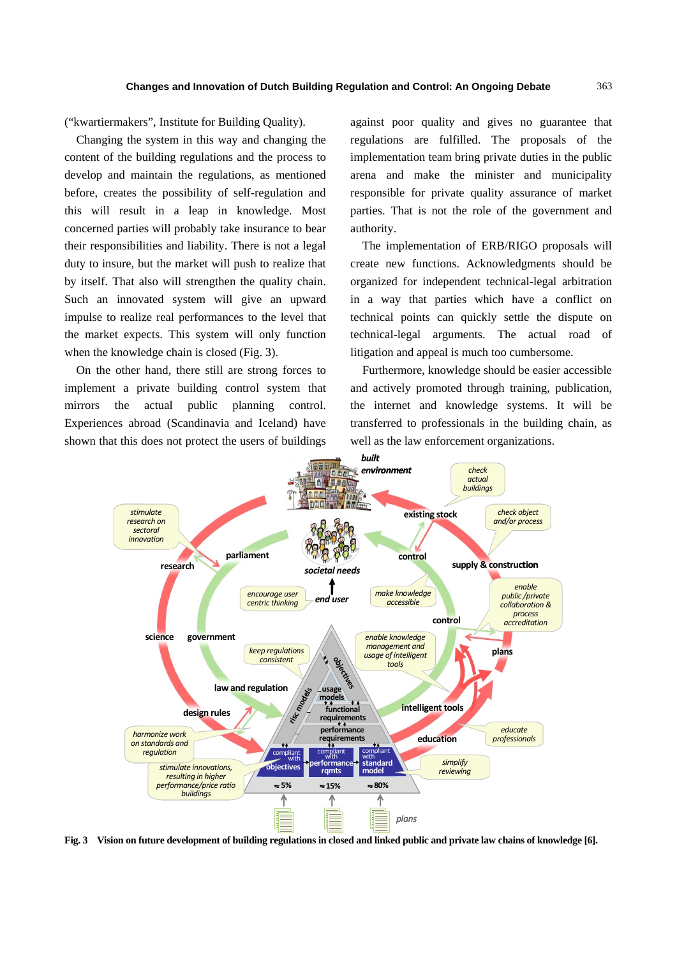("kwartiermakers", Institute for Building Quality).

Changing the system in this way and changing the content of the building regulations and the process to develop and maintain the regulations, as mentioned before, creates the possibility of self-regulation and this will result in a leap in knowledge. Most concerned parties will probably take insurance to bear their responsibilities and liability. There is not a legal duty to insure, but the market will push to realize that by itself. That also will strengthen the quality chain. Such an innovated system will give an upward impulse to realize real performances to the level that the market expects. This system will only function when the knowledge chain is closed (Fig. 3).

On the other hand, there still are strong forces to implement a private building control system that mirrors the actual public planning control. Experiences abroad (Scandinavia and Iceland) have shown that this does not protect the users of buildings

against poor quality and gives no guarantee that regulations are fulfilled. The proposals of the implementation team bring private duties in the public arena and make the minister and municipality responsible for private quality assurance of market parties. That is not the role of the government and authority.

The implementation of ERB/RIGO proposals will create new functions. Acknowledgments should be organized for independent technical-legal arbitration in a way that parties which have a conflict on technical points can quickly settle the dispute on technical-legal arguments. The actual road of litigation and appeal is much too cumbersome.

Furthermore, knowledge should be easier accessible and actively promoted through training, publication, the internet and knowledge systems. It will be transferred to professionals in the building chain, as well as the law enforcement organizations.



**Fig. 3 Vision on future development of building regulations in closed and linked public and private law chains of knowledge [6].**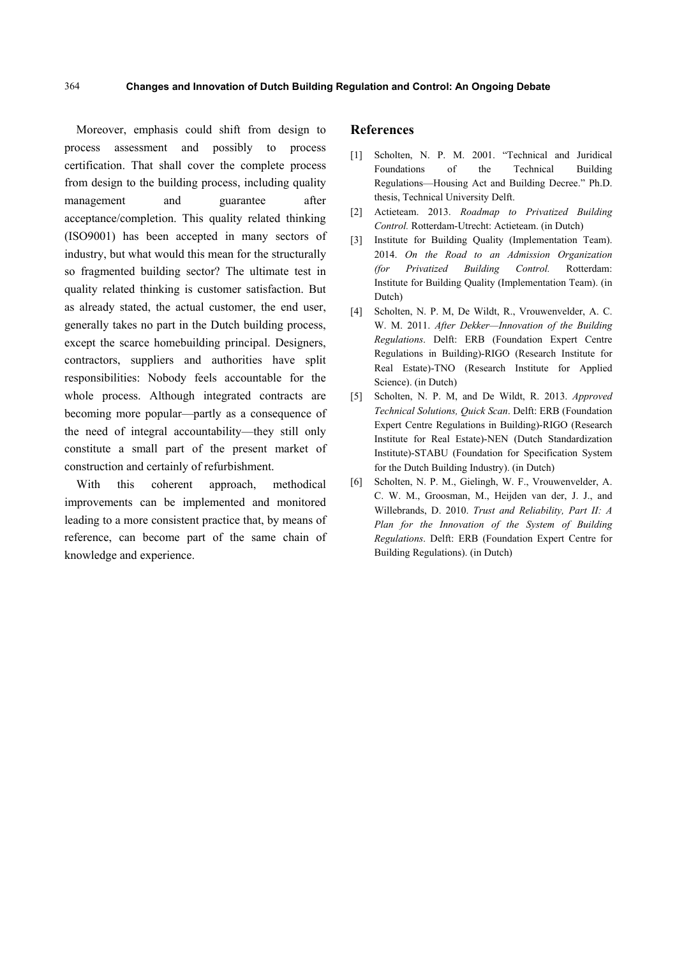Moreover, emphasis could shift from design to process assessment and possibly to process certification. That shall cover the complete process from design to the building process, including quality management and guarantee after acceptance/completion. This quality related thinking (ISO9001) has been accepted in many sectors of industry, but what would this mean for the structurally so fragmented building sector? The ultimate test in quality related thinking is customer satisfaction. But as already stated, the actual customer, the end user, generally takes no part in the Dutch building process, except the scarce homebuilding principal. Designers, contractors, suppliers and authorities have split responsibilities: Nobody feels accountable for the whole process. Although integrated contracts are becoming more popular—partly as a consequence of the need of integral accountability—they still only constitute a small part of the present market of construction and certainly of refurbishment.

With this coherent approach, methodical improvements can be implemented and monitored leading to a more consistent practice that, by means of reference, can become part of the same chain of knowledge and experience.

### **References**

- [1] Scholten, N. P. M. 2001. "Technical and Juridical Foundations of the Technical Building Regulations—Housing Act and Building Decree." Ph.D. thesis, Technical University Delft.
- [2] Actieteam. 2013. *Roadmap to Privatized Building Control.* Rotterdam-Utrecht: Actieteam. (in Dutch)
- [3] Institute for Building Quality (Implementation Team). 2014. *On the Road to an Admission Organization (for Privatized Building Control.* Rotterdam: Institute for Building Quality (Implementation Team). (in Dutch)
- [4] Scholten, N. P. M, De Wildt, R., Vrouwenvelder, A. C. W. M. 2011. *After Dekker—Innovation of the Building Regulations*. Delft: ERB (Foundation Expert Centre Regulations in Building)-RIGO (Research Institute for Real Estate)-TNO (Research Institute for Applied Science). (in Dutch)
- [5] Scholten, N. P. M, and De Wildt, R. 2013. *Approved Technical Solutions, Quick Scan*. Delft: ERB (Foundation Expert Centre Regulations in Building)-RIGO (Research Institute for Real Estate)-NEN (Dutch Standardization Institute)-STABU (Foundation for Specification System for the Dutch Building Industry). (in Dutch)
- [6] Scholten, N. P. M., Gielingh, W. F., Vrouwenvelder, A. C. W. M., Groosman, M., Heijden van der, J. J., and Willebrands, D. 2010. *Trust and Reliability, Part II: A Plan for the Innovation of the System of Building Regulations*. Delft: ERB (Foundation Expert Centre for Building Regulations). (in Dutch)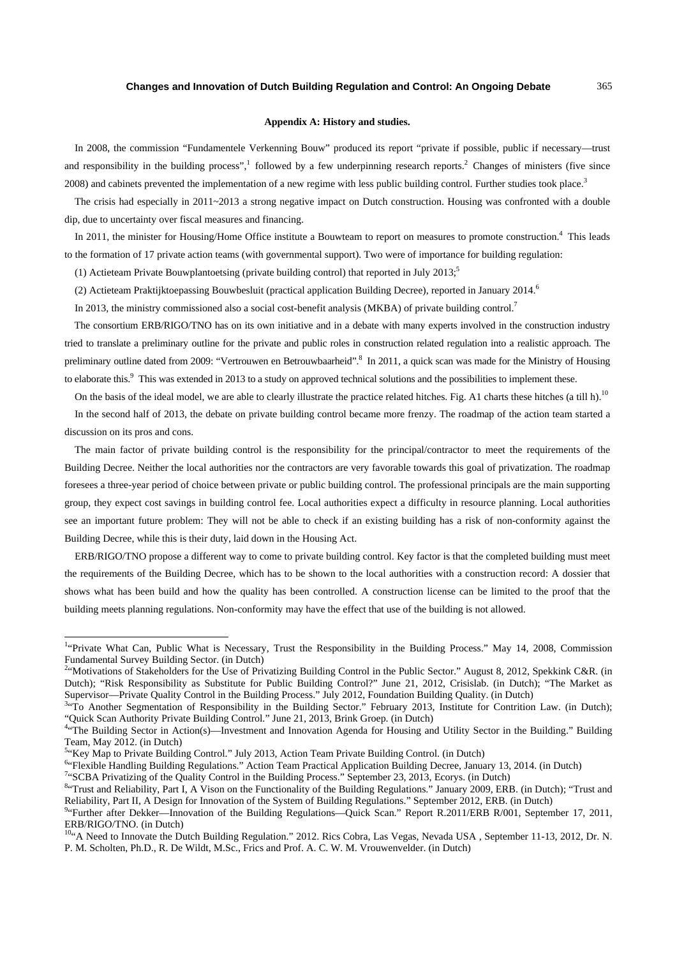#### **Appendix A: History and studies.**

In 2008, the commission "Fundamentele Verkenning Bouw" produced its report "private if possible, public if necessary—trust and responsibility in the building process",<sup>1</sup> followed by a few underpinning research reports.<sup>2</sup> Changes of ministers (five since 2008) and cabinets prevented the implementation of a new regime with less public building control. Further studies took place.<sup>3</sup>

The crisis had especially in 2011~2013 a strong negative impact on Dutch construction. Housing was confronted with a double dip, due to uncertainty over fiscal measures and financing.

In 2011, the minister for Housing/Home Office institute a Bouwteam to report on measures to promote construction.<sup>4</sup> This leads to the formation of 17 private action teams (with governmental support). Two were of importance for building regulation:

(1) Actieteam Private Bouwplantoetsing (private building control) that reported in July  $2013$ ;<sup>5</sup>

(2) Actieteam Praktijktoepassing Bouwbesluit (practical application Building Decree), reported in January 2014.<sup>6</sup>

In 2013, the ministry commissioned also a social cost-benefit analysis (MKBA) of private building control.<sup>7</sup>

The consortium ERB/RIGO/TNO has on its own initiative and in a debate with many experts involved in the construction industry tried to translate a preliminary outline for the private and public roles in construction related regulation into a realistic approach. The preliminary outline dated from 2009: "Vertrouwen en Betrouwbaarheid". In 2011, a quick scan was made for the Ministry of Housing to elaborate this.<sup>9</sup> This was extended in 2013 to a study on approved technical solutions and the possibilities to implement these.

On the basis of the ideal model, we are able to clearly illustrate the practice related hitches. Fig. A1 charts these hitches (a till h).<sup>10</sup>

In the second half of 2013, the debate on private building control became more frenzy. The roadmap of the action team started a discussion on its pros and cons.

The main factor of private building control is the responsibility for the principal/contractor to meet the requirements of the Building Decree. Neither the local authorities nor the contractors are very favorable towards this goal of privatization. The roadmap foresees a three-year period of choice between private or public building control. The professional principals are the main supporting group, they expect cost savings in building control fee. Local authorities expect a difficulty in resource planning. Local authorities see an important future problem: They will not be able to check if an existing building has a risk of non-conformity against the Building Decree, while this is their duty, laid down in the Housing Act.

ERB/RIGO/TNO propose a different way to come to private building control. Key factor is that the completed building must meet the requirements of the Building Decree, which has to be shown to the local authorities with a construction record: A dossier that shows what has been build and how the quality has been controlled. A construction license can be limited to the proof that the building meets planning regulations. Non-conformity may have the effect that use of the building is not allowed.

 $\overline{\phantom{a}}$ 

<sup>7</sup>"SCBA Privatizing of the Quality Control in the Building Process." September 23, 2013, Ecorys. (in Dutch)

<sup>84</sup>Trust and Reliability, Part I, A Vison on the Functionality of the Building Regulations." January 2009, ERB. (in Dutch); "Trust and Reliability, Part II, A Design for Innovation of the System of Building Regulations." September 2012, ERB. (in Dutch) 9

<sup>&</sup>lt;sup>1</sup>"Private What Can, Public What is Necessary, Trust the Responsibility in the Building Process." May 14, 2008, Commission Fundamental Survey Building Sector. (in Dutch) 2

<sup>&</sup>lt;sup>2</sup>"Motivations of Stakeholders for the Use of Privatizing Building Control in the Public Sector." August 8, 2012, Spekkink C&R. (in Dutch); "Risk Responsibility as Substitute for Public Building Control?" June 21, 2012, Crisislab. (in Dutch); "The Market as Supervisor—Private Quality Control in the Building Process." July 2012, Foundation Building Quality. (in Dutch)

 $\frac{3.47}{10}$  Another Segmentation of Responsibility in the Building Sector." February 2013, Institute for Contrition Law. (in Dutch); "Quick Scan Authority Private Building Control." June 21, 2013, Brink Groep. (in Dutch) 4

<sup>&</sup>lt;sup>4</sup>"The Building Sector in Action(s)—Investment and Innovation Agenda for Housing and Utility Sector in the Building." Building Team, May 2012. (in Dutch)

<sup>&</sup>lt;sup>5.</sup> Key Map to Private Building Control." July 2013, Action Team Private Building Control. (in Dutch)  $6.5$  Elements Puilding Partial Application Puilding Decree, January

<sup>&</sup>lt;sup>6</sup>"Flexible Handling Building Regulations." Action Team Practical Application Building Decree, January 13, 2014. (in Dutch)

<sup>&</sup>lt;sup>9</sup>"Further after Dekker—Innovation of the Building Regulations—Quick Scan." Report R.2011/ERB R/001, September 17, 2011, ERB/RIGO/TNO. (in Dutch)

 $^{10.4}$  Need to Innovate the Dutch Building Regulation." 2012. Rics Cobra, Las Vegas, Nevada USA, September 11-13, 2012, Dr. N. P. M. Scholten, Ph.D., R. De Wildt, M.Sc., Frics and Prof. A. C. W. M. Vrouwenvelder. (in Dutch)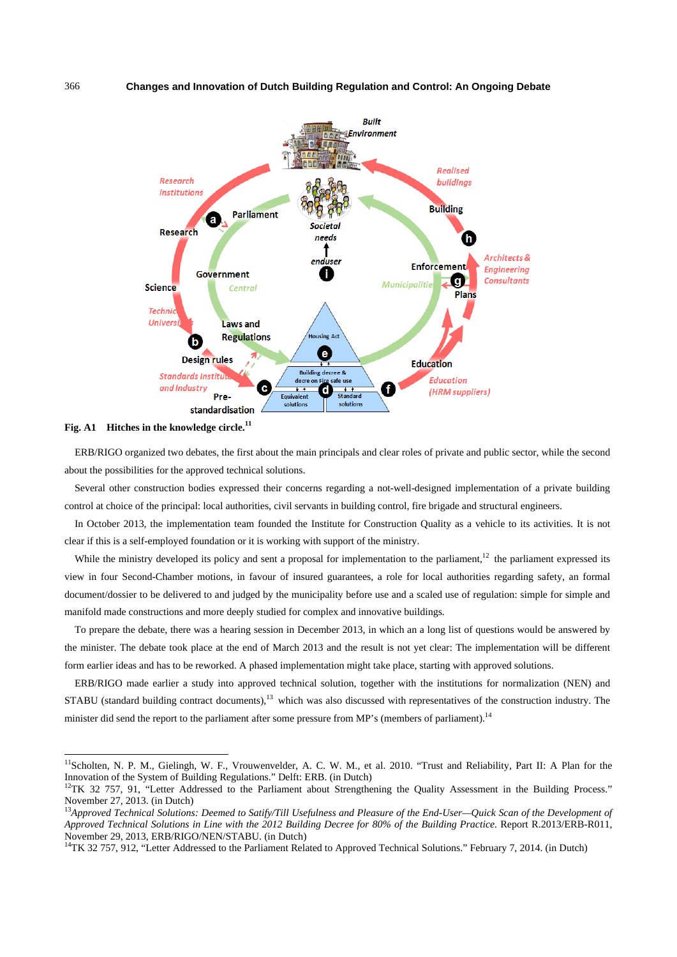#### 366 **Changes and Innovation of Dutch Building Regulation and Control: An Ongoing Debate**



**Fig. A1 Hitches in the knowledge circle.11** 

 $\overline{\phantom{a}}$ 

ERB/RIGO organized two debates, the first about the main principals and clear roles of private and public sector, while the second about the possibilities for the approved technical solutions.

Several other construction bodies expressed their concerns regarding a not-well-designed implementation of a private building control at choice of the principal: local authorities, civil servants in building control, fire brigade and structural engineers.

In October 2013, the implementation team founded the Institute for Construction Quality as a vehicle to its activities. It is not clear if this is a self-employed foundation or it is working with support of the ministry.

While the ministry developed its policy and sent a proposal for implementation to the parliament,<sup>12</sup> the parliament expressed its view in four Second-Chamber motions, in favour of insured guarantees, a role for local authorities regarding safety, an formal document/dossier to be delivered to and judged by the municipality before use and a scaled use of regulation: simple for simple and manifold made constructions and more deeply studied for complex and innovative buildings.

To prepare the debate, there was a hearing session in December 2013, in which an a long list of questions would be answered by the minister. The debate took place at the end of March 2013 and the result is not yet clear: The implementation will be different form earlier ideas and has to be reworked. A phased implementation might take place, starting with approved solutions.

ERB/RIGO made earlier a study into approved technical solution, together with the institutions for normalization (NEN) and STABU (standard building contract documents),<sup>13</sup> which was also discussed with representatives of the construction industry. The minister did send the report to the parliament after some pressure from MP's (members of parliament).<sup>14</sup>

<sup>&</sup>lt;sup>11</sup>Scholten, N. P. M., Gielingh, W. F., Vrouwenvelder, A. C. W. M., et al. 2010. "Trust and Reliability, Part II: A Plan for the Innovation of the System of Building Regulations." Delft: ERB. (in Dutch) 12TK 32 757, 91, "Letter Addressed to the Parliament about Strengthening the Quality Assessment in the Building Process."

November 27, 2013. (in Dutch)

<sup>&</sup>lt;sup>13</sup>Approved Technical Solutions: Deemed to Satify/Till Usefulness and Pleasure of the End-User—Quick Scan of the Development of *Approved Technical Solutions in Line with the 2012 Building Decree for 80% of the Building Practice.* Report R.2013/ERB-R011, November 29, 2013, ERB/RIGO/NEN/STABU. (in Dutch)<br><sup>14</sup>TK 32 757, 912, "Letter Addressed to the Parliament Related to Approved Technical Solutions." February 7, 2014. (in Dutch)